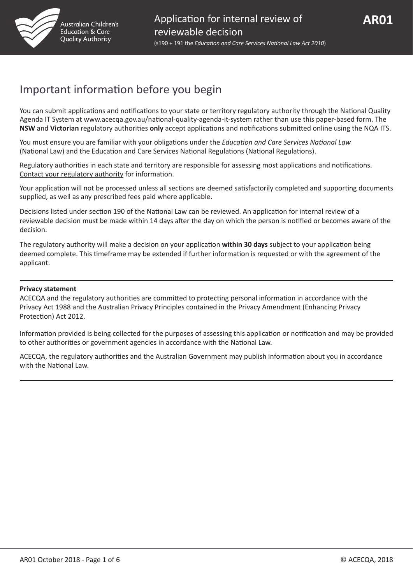

## Important information before you begin

You can submit applications and notifications to your state or territory regulatory authority through the National Quality Agenda IT System at www.acecqa.gov.au/national-quality-agenda-it-system rather than use this paper-based form. The **NSW** and **Victorian** regulatory authorities **only** accept applications and notifications submitted online using the NQA ITS.

You must ensure you are familiar with your obligations under the *Education and Care Services National Law* (National Law) and the Education and Care Services National Regulations (National Regulations).

Regulatory authorities in each state and territory are responsible for assessing most applications and notifications. [Contact your regulatory authority](http://www.acecqa.gov.au/regulatory-authorities1/contact-your-regulatory-authority) for information.

Your application will not be processed unless all sections are deemed satisfactorily completed and supporting documents supplied, as well as any prescribed fees paid where applicable.

Decisions listed under section 190 of the National Law can be reviewed. An application for internal review of a reviewable decision must be made within 14 days after the day on which the person is notified or becomes aware of the decision.

The regulatory authority will make a decision on your application **within 30 days** subject to your application being deemed complete. This timeframe may be extended if further information is requested or with the agreement of the applicant.

#### **Privacy statement**

ACECQA and the regulatory authorities are committed to protecting personal information in accordance with the Privacy Act 1988 and the Australian Privacy Principles contained in the Privacy Amendment (Enhancing Privacy Protection) Act 2012.

Information provided is being collected for the purposes of assessing this application or notification and may be provided to other authorities or government agencies in accordance with the National Law.

ACECQA, the regulatory authorities and the Australian Government may publish information about you in accordance with the National Law.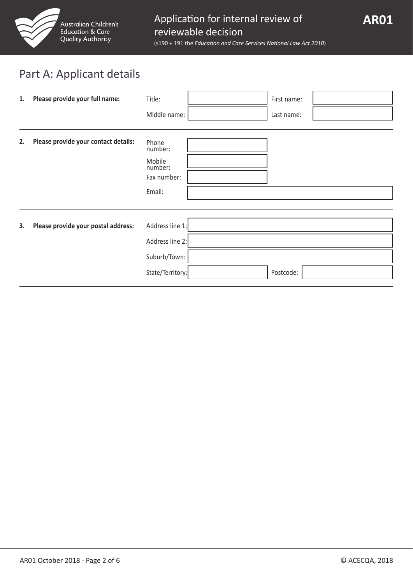

# Part A: Applicant details

| 1. | Please provide your full name:       | Title:                                                                 | First name: |  |
|----|--------------------------------------|------------------------------------------------------------------------|-------------|--|
|    |                                      | Middle name:                                                           | Last name:  |  |
| 2. | Please provide your contact details: | Phone<br>number:<br>Mobile<br>number:<br>Fax number:<br>Email:         |             |  |
| 3. | Please provide your postal address:  | Address line 1:<br>Address line 2:<br>Suburb/Town:<br>State/Territory: | Postcode:   |  |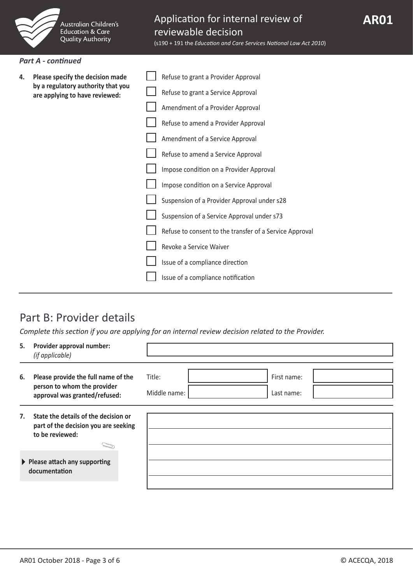

(s190 + 191 the *Education and Care Services National Law Act 2010*)

#### *Part A - continued*

| 4. | Please specify the decision made<br>by a regulatory authority that you<br>are applying to have reviewed: | Refuse to grant a Provider Approval                     |
|----|----------------------------------------------------------------------------------------------------------|---------------------------------------------------------|
|    |                                                                                                          | Refuse to grant a Service Approval                      |
|    |                                                                                                          | Amendment of a Provider Approval                        |
|    |                                                                                                          | Refuse to amend a Provider Approval                     |
|    |                                                                                                          | Amendment of a Service Approval                         |
|    |                                                                                                          | Refuse to amend a Service Approval                      |
|    |                                                                                                          | Impose condition on a Provider Approval                 |
|    |                                                                                                          | Impose condition on a Service Approval                  |
|    |                                                                                                          | Suspension of a Provider Approval under s28             |
|    |                                                                                                          | Suspension of a Service Approval under s73              |
|    |                                                                                                          | Refuse to consent to the transfer of a Service Approval |
|    |                                                                                                          | Revoke a Service Waiver                                 |
|    |                                                                                                          | Issue of a compliance direction                         |
|    |                                                                                                          | Issue of a compliance notification                      |

## Part B: Provider details

*Complete this section if you are applying for an internal review decision related to the Provider.*

| 5. | Provider approval number:<br>(if applicable)                                                        |                                                     |
|----|-----------------------------------------------------------------------------------------------------|-----------------------------------------------------|
| 6. | Please provide the full name of the<br>person to whom the provider<br>approval was granted/refused: | Title:<br>First name:<br>Middle name:<br>Last name: |
| 7. | State the details of the decision or<br>part of the decision you are seeking<br>to be reviewed:     |                                                     |
|    | $\blacktriangleright$ Please attach any supporting<br>documentation                                 |                                                     |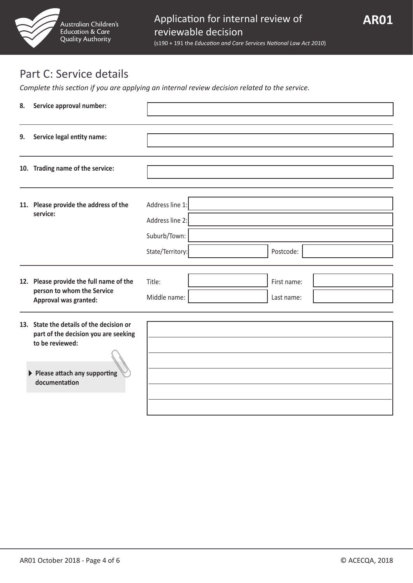

## Part C: Service details

*Complete this section if you are applying an internal review decision related to the service.*

| 8. | Service approval number:                                                                                                                               |                                                                        |                           |  |
|----|--------------------------------------------------------------------------------------------------------------------------------------------------------|------------------------------------------------------------------------|---------------------------|--|
| 9. | Service legal entity name:                                                                                                                             |                                                                        |                           |  |
|    | 10. Trading name of the service:                                                                                                                       |                                                                        |                           |  |
|    | 11. Please provide the address of the<br>service:                                                                                                      | Address line 1:<br>Address line 2:<br>Suburb/Town:<br>State/Territory: | Postcode:                 |  |
|    | 12. Please provide the full name of the<br>person to whom the Service<br>Approval was granted:                                                         | Title:<br>Middle name:                                                 | First name:<br>Last name: |  |
|    | 13. State the details of the decision or<br>part of the decision you are seeking<br>to be reviewed:<br>▶ Please attach any supporting<br>documentation |                                                                        |                           |  |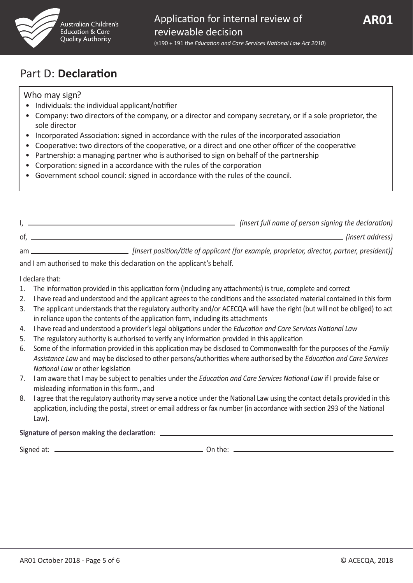

## Part D: **Declaration**

### Who may sign?

- Individuals: the individual applicant/notifier
- Company: two directors of the company, or a director and company secretary, or if a sole proprietor, the sole director
- Incorporated Association: signed in accordance with the rules of the incorporated association
- Cooperative: two directors of the cooperative, or a direct and one other officer of the cooperative
- Partnership: a managing partner who is authorised to sign on behalf of the partnership
- Corporation: signed in a accordance with the rules of the corporation
- Government school council: signed in accordance with the rules of the council.

|    | (insert full name of person signing the declaration)                                         |
|----|----------------------------------------------------------------------------------------------|
| of | (insert address)                                                                             |
| am | [Insert position/title of applicant (for example, proprietor, director, partner, president)] |

and I am authorised to make this declaration on the applicant's behalf.

I declare that:

- 1. The information provided in this application form (including any attachments) is true, complete and correct
- 2. I have read and understood and the applicant agrees to the conditions and the associated material contained in this form
- 3. The applicant understands that the regulatory authority and/or ACECQA will have the right (but will not be obliged) to act in reliance upon the contents of the application form, including its attachments
- 4. I have read and understood a provider's legal obligations under the *Education and Care Services National Law*
- 5. The regulatory authority is authorised to verify any information provided in this application
- 6. Some of the information provided in this application may be disclosed to Commonwealth for the purposes of the *Family Assistance Law* and may be disclosed to other persons/authorities where authorised by the *Education and Care Services National Law* or other legislation
- 7. I am aware that I may be subject to penalties under the *Education and Care Services National Law* if I provide false or misleading information in this form., and
- 8. I agree that the regulatory authority may serve a notice under the National Law using the contact details provided in this application, including the postal, street or email address or fax number (in accordance with section 293 of the National Law).

### **Signature of person making the declaration:**

Signed at: On the: